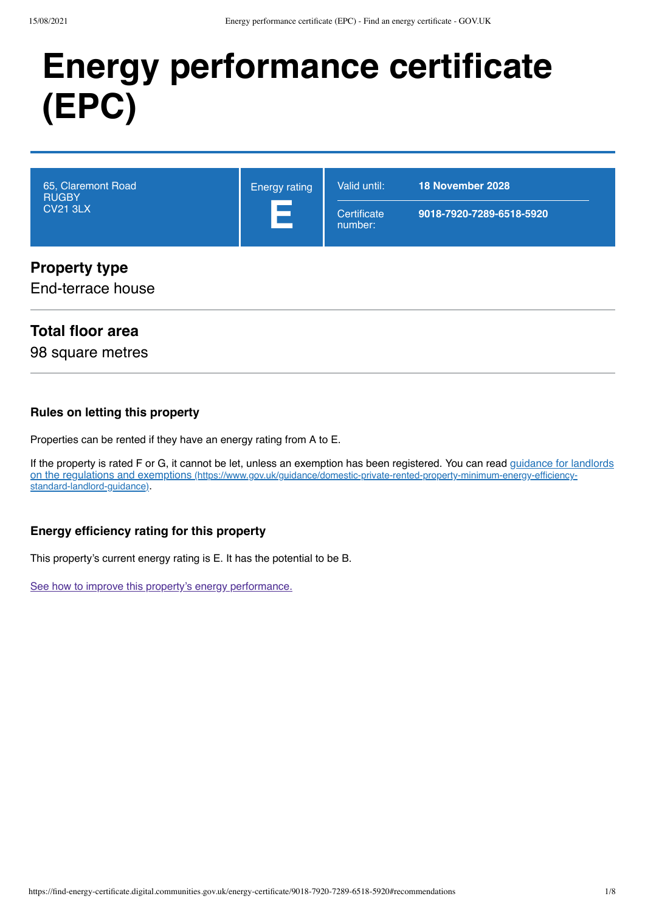# **Energy performance certificate (EPC)**

| 65, Claremont Road<br><b>RUGBY</b><br><b>CV21 3LX</b> | <b>Energy rating</b><br>Е | Valid until:<br>Certificate<br>number: | 18 November 2028<br>9018-7920-7289-6518-5920 |
|-------------------------------------------------------|---------------------------|----------------------------------------|----------------------------------------------|
| <b>Property type</b>                                  |                           |                                        |                                              |

## End-terrace house

## **Total floor area**

98 square metres

### **Rules on letting this property**

Properties can be rented if they have an energy rating from A to E.

[If the property is rated F or G, it cannot be let, unless an exemption has been registered. You can read guidance for landlords](https://www.gov.uk/guidance/domestic-private-rented-property-minimum-energy-efficiency-standard-landlord-guidance) on the regulations and exemptions (https://www.gov.uk/guidance/domestic-private-rented-property-minimum-energy-efficiencystandard-landlord-guidance).

## **Energy efficiency rating for this property**

This property's current energy rating is E. It has the potential to be B.

[See how to improve this property's energy performance.](#page-3-0)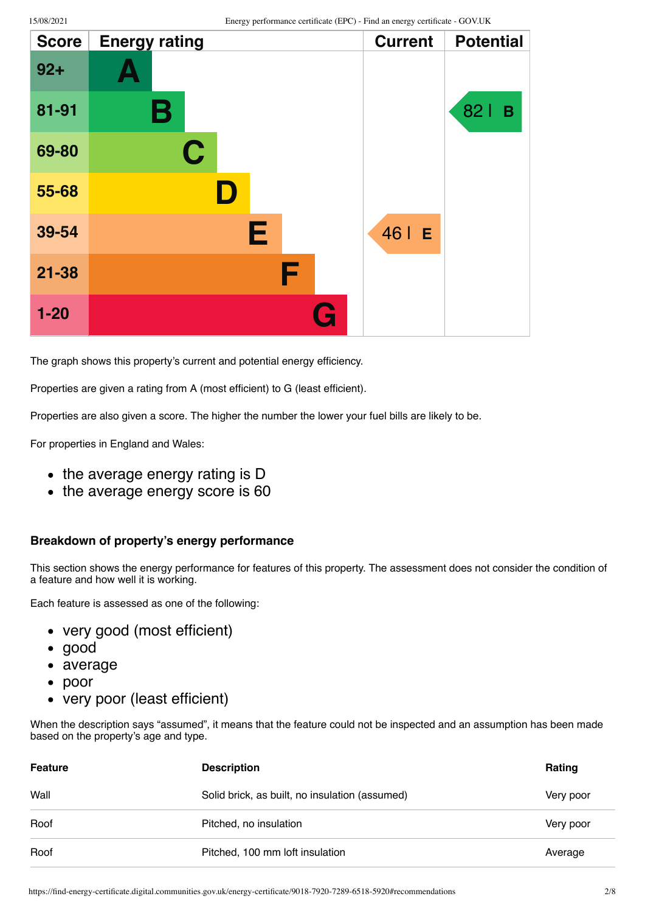| <b>Score</b> | <b>Energy rating</b> | <b>Current</b> | <b>Potential</b> |
|--------------|----------------------|----------------|------------------|
| $92 +$       |                      |                |                  |
| 81-91        | В                    |                | 821<br>B         |
| 69-80        | C                    |                |                  |
| 55-68        | D                    |                |                  |
| 39-54        | Е                    | 46   E         |                  |
| $21 - 38$    | F                    |                |                  |
| $1 - 20$     | G                    |                |                  |

The graph shows this property's current and potential energy efficiency.

Properties are given a rating from A (most efficient) to G (least efficient).

Properties are also given a score. The higher the number the lower your fuel bills are likely to be.

For properties in England and Wales:

- the average energy rating is D
- the average energy score is 60

#### **Breakdown of property's energy performance**

This section shows the energy performance for features of this property. The assessment does not consider the condition of a feature and how well it is working.

Each feature is assessed as one of the following:

- very good (most efficient)
- good
- average
- poor  $\bullet$
- very poor (least efficient)

When the description says "assumed", it means that the feature could not be inspected and an assumption has been made based on the property's age and type.

| Feature | <b>Description</b>                             | Rating    |
|---------|------------------------------------------------|-----------|
| Wall    | Solid brick, as built, no insulation (assumed) | Very poor |
| Roof    | Pitched, no insulation                         | Very poor |
| Roof    | Pitched, 100 mm loft insulation                | Average   |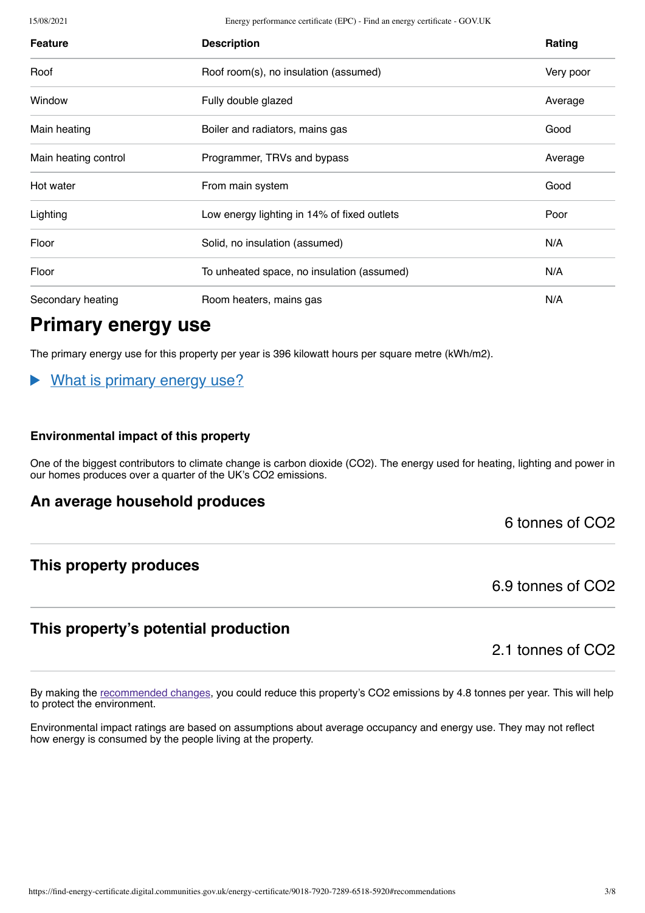15/08/2021 Energy performance certificate (EPC) - Find an energy certificate - GOV.UK

| <b>Feature</b>       | <b>Description</b>                          | Rating    |
|----------------------|---------------------------------------------|-----------|
| Roof                 | Roof room(s), no insulation (assumed)       | Very poor |
| Window               | Fully double glazed                         | Average   |
| Main heating         | Boiler and radiators, mains gas             | Good      |
| Main heating control | Programmer, TRVs and bypass                 | Average   |
| Hot water            | From main system                            | Good      |
| Lighting             | Low energy lighting in 14% of fixed outlets | Poor      |
| Floor                | Solid, no insulation (assumed)              | N/A       |
| Floor                | To unheated space, no insulation (assumed)  | N/A       |
| Secondary heating    | Room heaters, mains gas                     | N/A       |

# **Primary energy use**

The primary energy use for this property per year is 396 kilowatt hours per square metre (kWh/m2).

What is primary energy use?

#### **Environmental impact of this property**

One of the biggest contributors to climate change is carbon dioxide (CO2). The energy used for heating, lighting and power in our homes produces over a quarter of the UK's CO2 emissions.

## **An average household produces**

6 tonnes of CO2

## **This property produces**

6.9 tonnes of CO2

## **This property's potential production**

2.1 tonnes of CO2

By making the [recommended changes](#page-3-0), you could reduce this property's CO2 emissions by 4.8 tonnes per year. This will help to protect the environment.

Environmental impact ratings are based on assumptions about average occupancy and energy use. They may not reflect how energy is consumed by the people living at the property.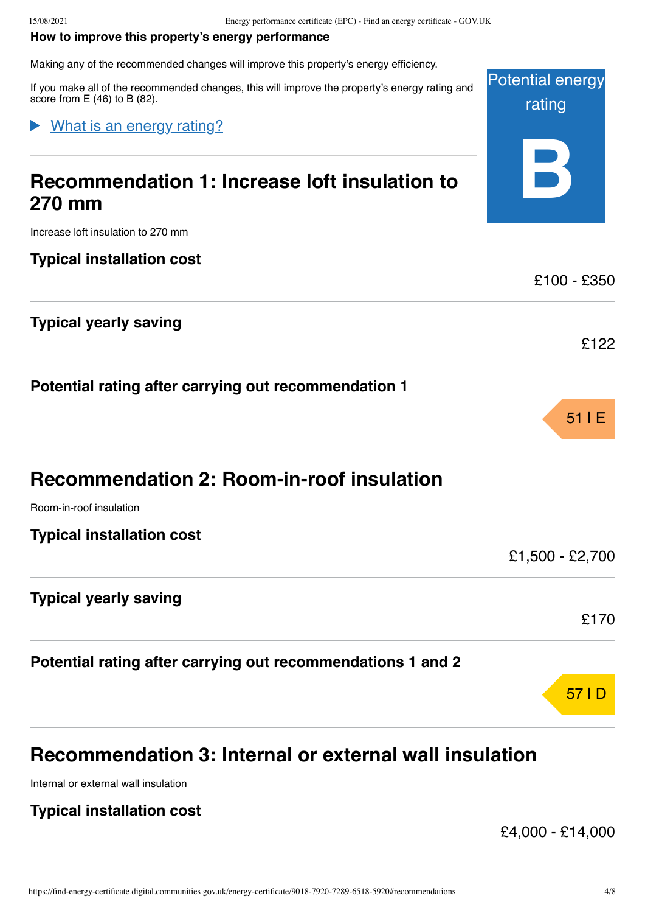#### <span id="page-3-0"></span>**How to improve this property's energy performance**

Making any of the recommended changes will improve this property's energy efficiency.

Potential energy If you make all of the recommended changes, this will improve the property's energy rating and score from E (46) to B (82).

## What is an energy rating?

# **Recommendation 1: Increase loft insulation to 270 mm**

Increase loft insulation to 270 mm

## **Typical installation cost**

## **Typical yearly saving**

**Potential rating after carrying out recommendation 1**

| <b>Recommendation 2: Room-in-roof insulation</b> |  |  |  |
|--------------------------------------------------|--|--|--|
|--------------------------------------------------|--|--|--|

Room-in-roof insulation

## **Typical yearly saving**

**Potential rating after carrying out recommendations 1 and 2**

# 57 |D

# **Recommendation 3: Internal or external wall insulation**

Internal or external wall insulation

## **Typical installation cost**

£4,000 - £14,000

rating

**B**

£100 - £350

£122

51 |E

£1,500 - £2,700

£170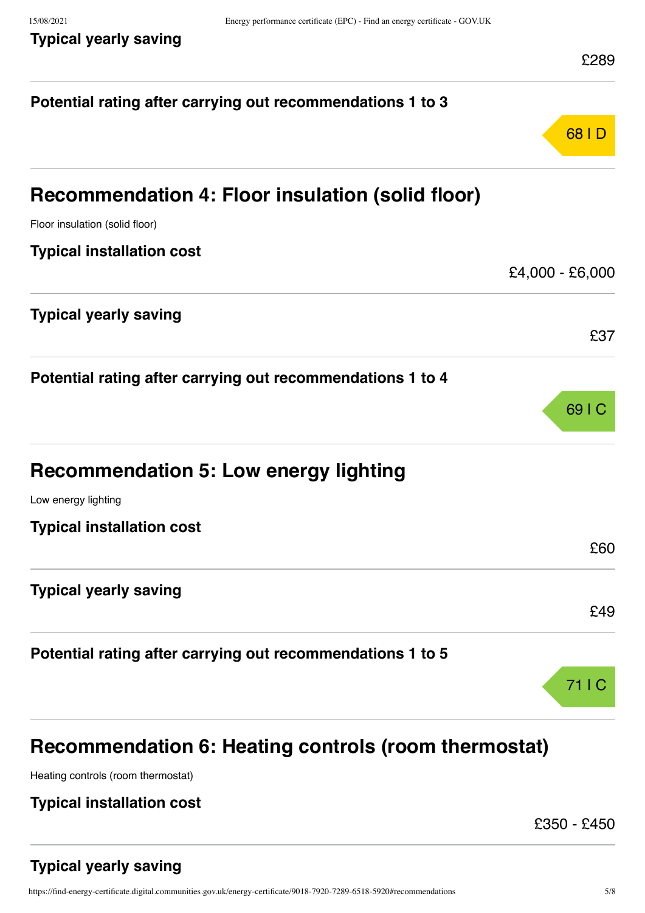|  | Typical yearly saving |
|--|-----------------------|
|  |                       |

| Potential rating after carrying out recommendations 1 to 3 |                   |
|------------------------------------------------------------|-------------------|
|                                                            | 68   D            |
| Recommendation 4: Floor insulation (solid floor)           |                   |
| Floor insulation (solid floor)                             |                   |
| <b>Typical installation cost</b>                           |                   |
|                                                            | $£4,000 - £6,000$ |
| <b>Typical yearly saving</b>                               |                   |
|                                                            | £37               |
| Potential rating after carrying out recommendations 1 to 4 |                   |
|                                                            | 69 I C            |
| <b>Recommendation 5: Low energy lighting</b>               |                   |
| Low energy lighting                                        |                   |
| <b>Typical installation cost</b>                           |                   |
|                                                            | £60               |
| <b>Typical yearly saving</b>                               |                   |
|                                                            | £49               |
| Potential rating after carrying out recommendations 1 to 5 |                   |
|                                                            | 71 I C            |
| Recommendation 6: Heating controls (room thermostat)       |                   |

Heating controls (room thermostat)

## **Typical installation cost**

£350 - £450

## **Typical yearly saving**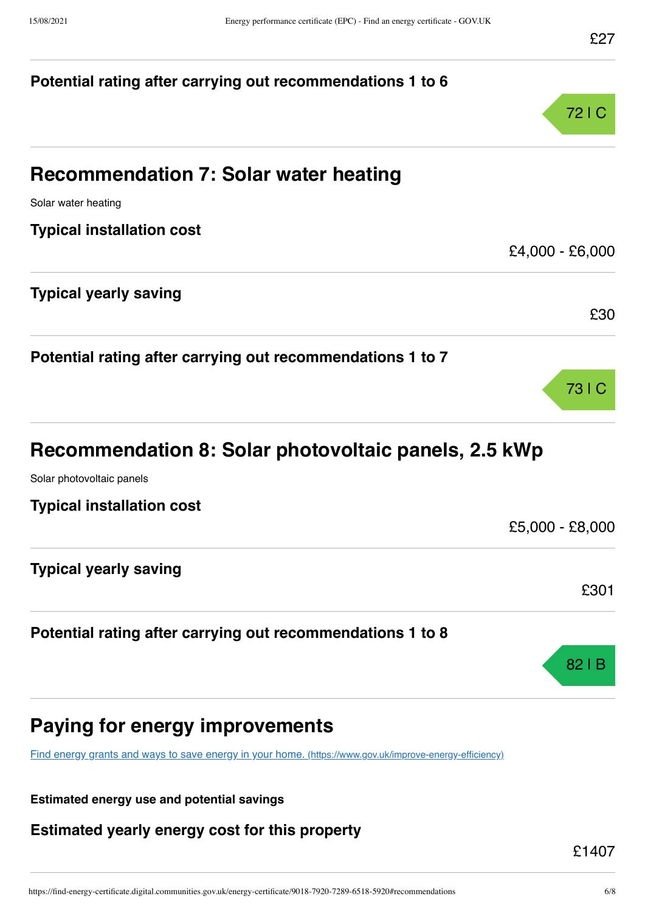# **Potential rating after carrying out recommendations 1 to 6** 72 |C **Recommendation 7: Solar water heating** Solar water heating **Typical installation cost** £4,000 - £6,000 **Typical yearly saving** £30 **Potential rating after carrying out recommendations 1 to 7** 73 |C **Recommendation 8: Solar photovoltaic panels, 2.5 kWp** Solar photovoltaic panels **Typical installation cost** £5,000 - £8,000 **Typical yearly saving** £301 **Potential rating after carrying out recommendations 1 to 8** 82 |B

# **Paying for energy improvements**

[Find energy grants and ways to save energy in your home.](https://www.gov.uk/improve-energy-efficiency) (https://www.gov.uk/improve-energy-efficiency)

**Estimated energy use and potential savings**

**Estimated yearly energy cost for this property**

£1407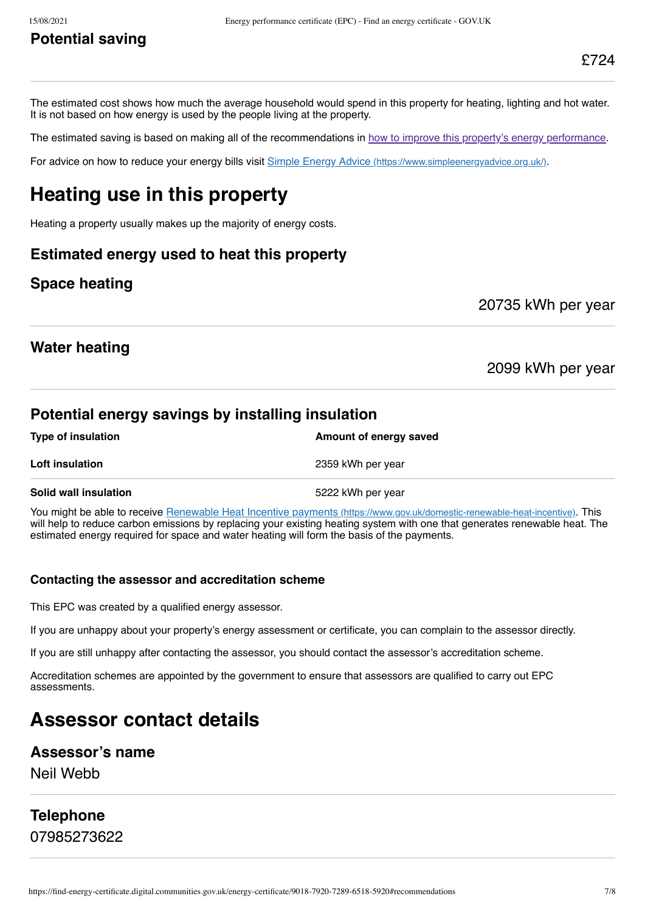## **Potential saving**

The estimated cost shows how much the average household would spend in this property for heating, lighting and hot water. It is not based on how energy is used by the people living at the property.

The estimated saving is based on making all of the recommendations in [how to improve this property's energy performance.](#page-3-0)

For advice on how to reduce your energy bills visit Simple Energy Advice [\(https://www.simpleenergyadvice.org.uk/\)](https://www.simpleenergyadvice.org.uk/).

# **Heating use in this property**

Heating a property usually makes up the majority of energy costs.

## **Estimated energy used to heat this property**

## **Space heating**

20735 kWh per year

## **Water heating**

2099 kWh per year

## **Potential energy savings by installing insulation**

| <b>Type of insulation</b>    | Amount of energy saved |
|------------------------------|------------------------|
| <b>Loft insulation</b>       | 2359 kWh per year      |
| <b>Solid wall insulation</b> | 5222 kWh per year      |

You might be able to receive Renewable Heat Incentive payments [\(https://www.gov.uk/domestic-renewable-heat-incentive\)](https://www.gov.uk/domestic-renewable-heat-incentive). This will help to reduce carbon emissions by replacing your existing heating system with one that generates renewable heat. The estimated energy required for space and water heating will form the basis of the payments.

#### **Contacting the assessor and accreditation scheme**

This EPC was created by a qualified energy assessor.

If you are unhappy about your property's energy assessment or certificate, you can complain to the assessor directly.

If you are still unhappy after contacting the assessor, you should contact the assessor's accreditation scheme.

Accreditation schemes are appointed by the government to ensure that assessors are qualified to carry out EPC assessments.

## **Assessor contact details**

#### **Assessor's name**

Neil Webb

# **Telephone**

07985273622